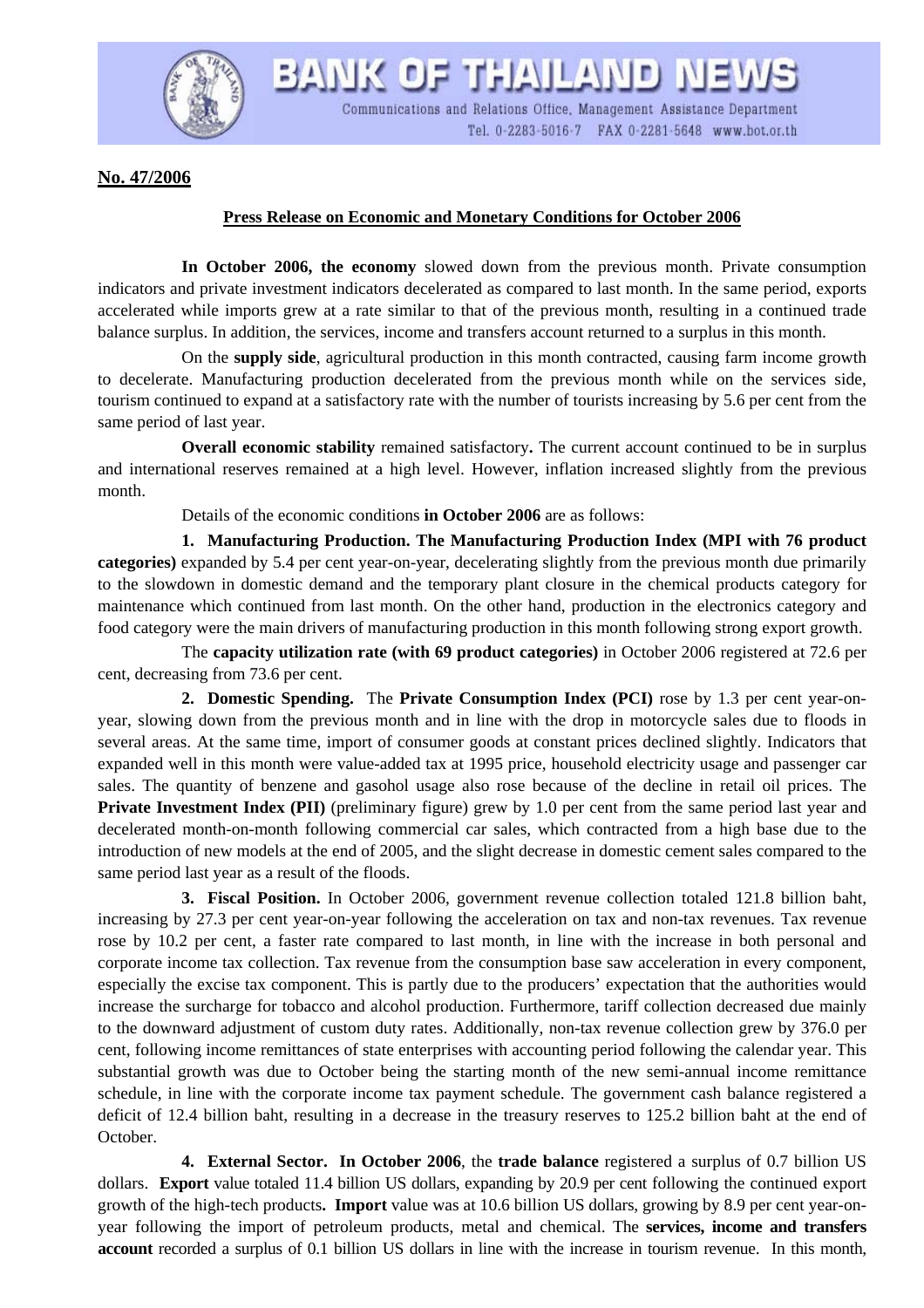

BANK OF THAILAND NEWS Communications and Relations Office, Management Assistance Department Tel. 0-2283-5016-7 FAX 0-2281-5648 www.bot.or.th

**No. 47/2006**

## **Press Release on Economic and Monetary Conditions for October 2006**

 **In October 2006, the economy** slowed down from the previous month. Private consumption indicators and private investment indicators decelerated as compared to last month. In the same period, exports accelerated while imports grew at a rate similar to that of the previous month, resulting in a continued trade balance surplus. In addition, the services, income and transfers account returned to a surplus in this month.

 On the **supply side**, agricultural production in this month contracted, causing farm income growth to decelerate. Manufacturing production decelerated from the previous month while on the services side, tourism continued to expand at a satisfactory rate with the number of tourists increasing by 5.6 per cent from the same period of last year.

 **Overall economic stability** remained satisfactory**.** The current account continued to be in surplus and international reserves remained at a high level. However, inflation increased slightly from the previous month.

Details of the economic conditions **in October 2006** are as follows:

 **1. Manufacturing Production. The Manufacturing Production Index (MPI with 76 product categories)** expanded by 5.4 per cent year-on-year, decelerating slightly from the previous month due primarily to the slowdown in domestic demand and the temporary plant closure in the chemical products category for maintenance which continued from last month. On the other hand, production in the electronics category and food category were the main drivers of manufacturing production in this month following strong export growth.

 The **capacity utilization rate (with 69 product categories)** in October 2006 registered at 72.6 per cent, decreasing from 73.6 per cent.

**2. Domestic Spending.** The **Private Consumption Index (PCI)** rose by 1.3 per cent year-onyear, slowing down from the previous month and in line with the drop in motorcycle sales due to floods in several areas. At the same time, import of consumer goods at constant prices declined slightly. Indicators that expanded well in this month were value-added tax at 1995 price, household electricity usage and passenger car sales. The quantity of benzene and gasohol usage also rose because of the decline in retail oil prices. The **Private Investment Index (PII)** (preliminary figure) grew by 1.0 per cent from the same period last year and decelerated month-on-month following commercial car sales, which contracted from a high base due to the introduction of new models at the end of 2005, and the slight decrease in domestic cement sales compared to the same period last year as a result of the floods.

**3. Fiscal Position.** In October 2006, government revenue collection totaled 121.8 billion baht, increasing by 27.3 per cent year-on-year following the acceleration on tax and non-tax revenues. Tax revenue rose by 10.2 per cent, a faster rate compared to last month, in line with the increase in both personal and corporate income tax collection. Tax revenue from the consumption base saw acceleration in every component, especially the excise tax component. This is partly due to the producers' expectation that the authorities would increase the surcharge for tobacco and alcohol production. Furthermore, tariff collection decreased due mainly to the downward adjustment of custom duty rates. Additionally, non-tax revenue collection grew by 376.0 per cent, following income remittances of state enterprises with accounting period following the calendar year. This substantial growth was due to October being the starting month of the new semi-annual income remittance schedule, in line with the corporate income tax payment schedule. The government cash balance registered a deficit of 12.4 billion baht, resulting in a decrease in the treasury reserves to 125.2 billion baht at the end of October.

 **4. External Sector. In October 2006**, the **trade balance** registered a surplus of 0.7 billion US dollars. **Export** value totaled 11.4 billion US dollars, expanding by 20.9 per cent following the continued export growth of the high-tech products**. Import** value was at 10.6 billion US dollars, growing by 8.9 per cent year-onyear following the import of petroleum products, metal and chemical. The **services, income and transfers account** recorded a surplus of 0.1 billion US dollars in line with the increase in tourism revenue. In this month,